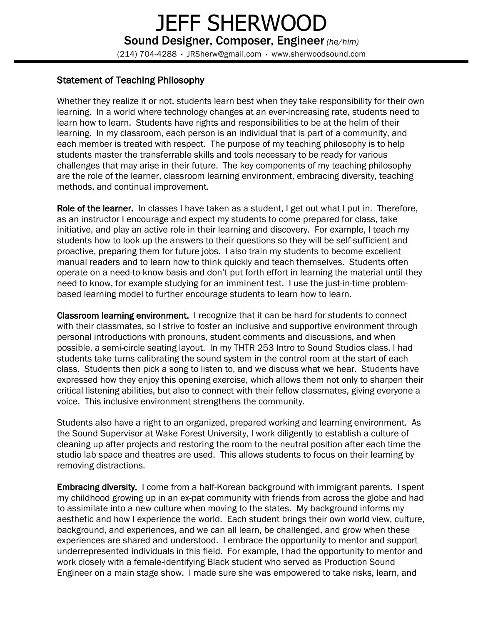## Statement of Teaching Philosophy

Whether they realize it or not, students learn best when they take responsibility for their own learning. In a world where technology changes at an ever-increasing rate, students need to learn how to learn. Students have rights and responsibilities to be at the helm of their learning. In my classroom, each person is an individual that is part of a community, and each member is treated with respect. The purpose of my teaching philosophy is to help students master the transferrable skills and tools necessary to be ready for various challenges that may arise in their future. The key components of my teaching philosophy are the role of the learner, classroom learning environment, embracing diversity, teaching methods, and continual improvement.

Role of the learner. In classes I have taken as a student, I get out what I put in. Therefore, as an instructor I encourage and expect my students to come prepared for class, take initiative, and play an active role in their learning and discovery. For example, I teach my students how to look up the answers to their questions so they will be self-sufficient and proactive, preparing them for future jobs. I also train my students to become excellent manual readers and to learn how to think quickly and teach themselves. Students often operate on a need-to-know basis and don't put forth effort in learning the material until they need to know, for example studying for an imminent test. I use the just-in-time problembased learning model to further encourage students to learn how to learn.

Classroom learning environment. I recognize that it can be hard for students to connect with their classmates, so I strive to foster an inclusive and supportive environment through personal introductions with pronouns, student comments and discussions, and when possible, a semi-circle seating layout. In my THTR 253 Intro to Sound Studios class, I had students take turns calibrating the sound system in the control room at the start of each class. Students then pick a song to listen to, and we discuss what we hear. Students have expressed how they enjoy this opening exercise, which allows them not only to sharpen their critical listening abilities, but also to connect with their fellow classmates, giving everyone a voice. This inclusive environment strengthens the community.

Students also have a right to an organized, prepared working and learning environment. As the Sound Supervisor at Wake Forest University, I work diligently to establish a culture of cleaning up after projects and restoring the room to the neutral position after each time the studio lab space and theatres are used. This allows students to focus on their learning by removing distractions.

Embracing diversity. I come from a half-Korean background with immigrant parents. I spent my childhood growing up in an ex-pat community with friends from across the globe and had to assimilate into a new culture when moving to the states. My background informs my aesthetic and how I experience the world. Each student brings their own world view, culture, background, and experiences, and we can all learn, be challenged, and grow when these experiences are shared and understood. I embrace the opportunity to mentor and support underrepresented individuals in this field. For example, I had the opportunity to mentor and work closely with a female-identifying Black student who served as Production Sound Engineer on a main stage show. I made sure she was empowered to take risks, learn, and